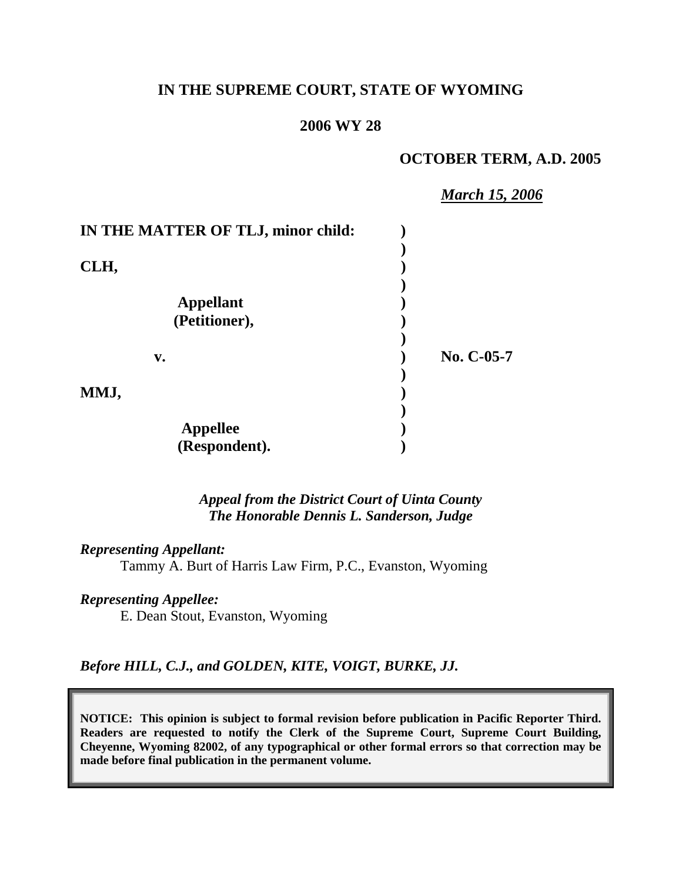## **IN THE SUPREME COURT, STATE OF WYOMING**

### **2006 WY 28**

### **OCTOBER TERM, A.D. 2005**

*March 15, 2006*

| IN THE MATTER OF TLJ, minor child: |            |
|------------------------------------|------------|
|                                    |            |
| CLH,                               |            |
|                                    |            |
| <b>Appellant</b>                   |            |
| (Petitioner),                      |            |
|                                    |            |
| $V_{\bullet}$                      | No. C-05-7 |
|                                    |            |
| MMJ,                               |            |
|                                    |            |
| <b>Appellee</b>                    |            |
| (Respondent).                      |            |

*Appeal from the District Court of Uinta County The Honorable Dennis L. Sanderson, Judge* 

*Representing Appellant:*

Tammy A. Burt of Harris Law Firm, P.C., Evanston, Wyoming

### *Representing Appellee:*

E. Dean Stout, Evanston, Wyoming

*Before HILL, C.J., and GOLDEN, KITE, VOIGT, BURKE, JJ.* 

**NOTICE: This opinion is subject to formal revision before publication in Pacific Reporter Third. Readers are requested to notify the Clerk of the Supreme Court, Supreme Court Building, Cheyenne, Wyoming 82002, of any typographical or other formal errors so that correction may be made before final publication in the permanent volume.**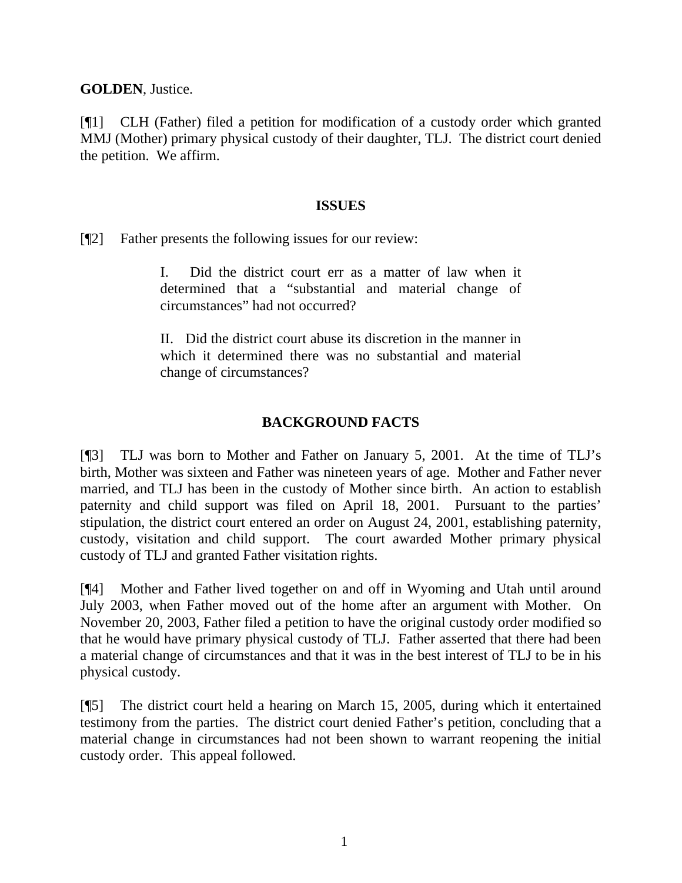**GOLDEN**, Justice.

[¶1] CLH (Father) filed a petition for modification of a custody order which granted MMJ (Mother) primary physical custody of their daughter, TLJ. The district court denied the petition. We affirm.

### **ISSUES**

[¶2] Father presents the following issues for our review:

I. Did the district court err as a matter of law when it determined that a "substantial and material change of circumstances" had not occurred?

II. Did the district court abuse its discretion in the manner in which it determined there was no substantial and material change of circumstances?

# **BACKGROUND FACTS**

[¶3] TLJ was born to Mother and Father on January 5, 2001. At the time of TLJ's birth, Mother was sixteen and Father was nineteen years of age. Mother and Father never married, and TLJ has been in the custody of Mother since birth. An action to establish paternity and child support was filed on April 18, 2001. Pursuant to the parties' stipulation, the district court entered an order on August 24, 2001, establishing paternity, custody, visitation and child support. The court awarded Mother primary physical custody of TLJ and granted Father visitation rights.

[¶4] Mother and Father lived together on and off in Wyoming and Utah until around July 2003, when Father moved out of the home after an argument with Mother. On November 20, 2003, Father filed a petition to have the original custody order modified so that he would have primary physical custody of TLJ. Father asserted that there had been a material change of circumstances and that it was in the best interest of TLJ to be in his physical custody.

[¶5] The district court held a hearing on March 15, 2005, during which it entertained testimony from the parties. The district court denied Father's petition, concluding that a material change in circumstances had not been shown to warrant reopening the initial custody order. This appeal followed.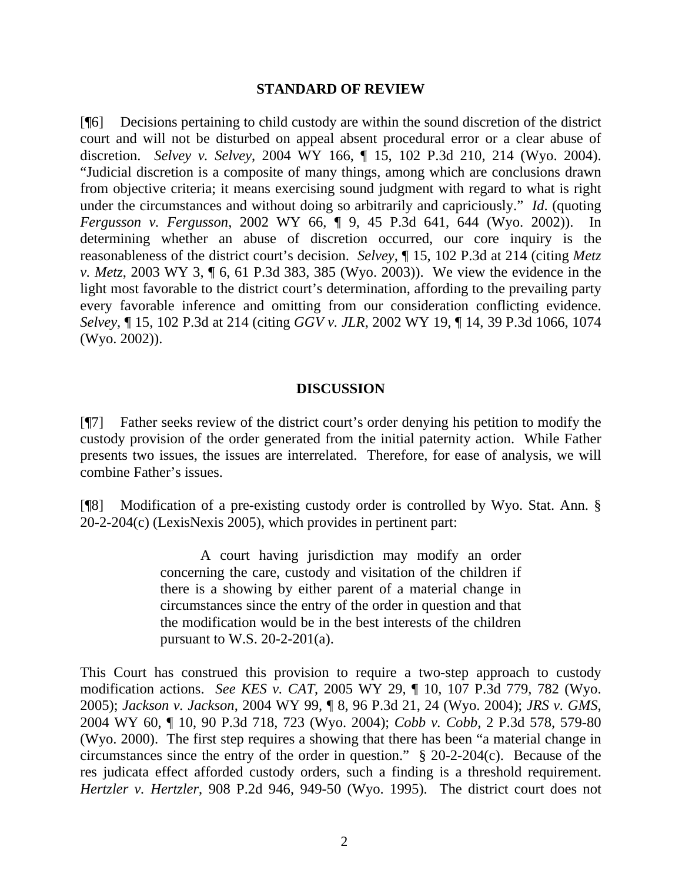### **STANDARD OF REVIEW**

[¶6] Decisions pertaining to child custody are within the sound discretion of the district court and will not be disturbed on appeal absent procedural error or a clear abuse of discretion. *Selvey v. Selvey*, 2004 WY 166, ¶ 15, 102 P.3d 210, 214 (Wyo. 2004). "Judicial discretion is a composite of many things, among which are conclusions drawn from objective criteria; it means exercising sound judgment with regard to what is right under the circumstances and without doing so arbitrarily and capriciously." *Id*. (quoting *Fergusson v. Fergusson*, 2002 WY 66, ¶ 9, 45 P.3d 641, 644 (Wyo. 2002)). In determining whether an abuse of discretion occurred, our core inquiry is the reasonableness of the district court's decision. *Selvey,* ¶ 15, 102 P.3d at 214 (citing *Metz v. Metz*, 2003 WY 3, ¶ 6, 61 P.3d 383, 385 (Wyo. 2003)). We view the evidence in the light most favorable to the district court's determination, affording to the prevailing party every favorable inference and omitting from our consideration conflicting evidence. *Selvey,* ¶ 15, 102 P.3d at 214 (citing *GGV v. JLR*, 2002 WY 19, ¶ 14, 39 P.3d 1066, 1074 (Wyo. 2002)).

### **DISCUSSION**

[¶7] Father seeks review of the district court's order denying his petition to modify the custody provision of the order generated from the initial paternity action. While Father presents two issues, the issues are interrelated. Therefore, for ease of analysis, we will combine Father's issues.

[¶8] Modification of a pre-existing custody order is controlled by Wyo. Stat. Ann. § 20-2-204(c) (LexisNexis 2005), which provides in pertinent part:

> A court having jurisdiction may modify an order concerning the care, custody and visitation of the children if there is a showing by either parent of a material change in circumstances since the entry of the order in question and that the modification would be in the best interests of the children pursuant to W.S.  $20-2-201(a)$ .

This Court has construed this provision to require a two-step approach to custody modification actions. *See KES v. CAT*, 2005 WY 29, ¶ 10, 107 P.3d 779, 782 (Wyo. 2005); *Jackson v. Jackson*, 2004 WY 99, ¶ 8, 96 P.3d 21, 24 (Wyo. 2004); *JRS v. GMS*, 2004 WY 60, ¶ 10, 90 P.3d 718, 723 (Wyo. 2004); *Cobb v. Cobb*, 2 P.3d 578, 579-80 (Wyo. 2000). The first step requires a showing that there has been "a material change in circumstances since the entry of the order in question."  $\frac{8}{3}$  20-2-204(c). Because of the res judicata effect afforded custody orders, such a finding is a threshold requirement. *Hertzler v. Hertzler*, 908 P.2d 946, 949-50 (Wyo. 1995). The district court does not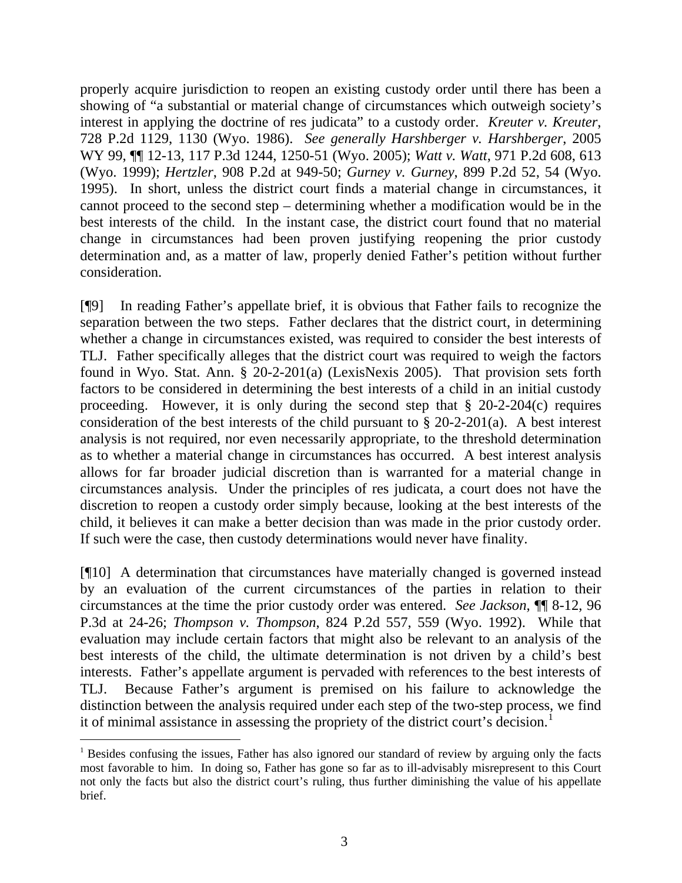properly acquire jurisdiction to reopen an existing custody order until there has been a showing of "a substantial or material change of circumstances which outweigh society's interest in applying the doctrine of res judicata" to a custody order. *Kreuter v. Kreuter*, 728 P.2d 1129, 1130 (Wyo. 1986). *See generally Harshberger v. Harshberger*, 2005 WY 99, ¶¶ 12-13, 117 P.3d 1244, 1250-51 (Wyo. 2005); *Watt v. Watt*, 971 P.2d 608, 613 (Wyo. 1999); *Hertzler*, 908 P.2d at 949-50; *Gurney v. Gurney*, 899 P.2d 52, 54 (Wyo. 1995). In short, unless the district court finds a material change in circumstances, it cannot proceed to the second step – determining whether a modification would be in the best interests of the child. In the instant case, the district court found that no material change in circumstances had been proven justifying reopening the prior custody determination and, as a matter of law, properly denied Father's petition without further consideration.

[¶9] In reading Father's appellate brief, it is obvious that Father fails to recognize the separation between the two steps. Father declares that the district court, in determining whether a change in circumstances existed, was required to consider the best interests of TLJ. Father specifically alleges that the district court was required to weigh the factors found in Wyo. Stat. Ann. § 20-2-201(a) (LexisNexis 2005). That provision sets forth factors to be considered in determining the best interests of a child in an initial custody proceeding. However, it is only during the second step that  $\S$  20-2-204(c) requires consideration of the best interests of the child pursuant to § 20-2-201(a). A best interest analysis is not required, nor even necessarily appropriate, to the threshold determination as to whether a material change in circumstances has occurred. A best interest analysis allows for far broader judicial discretion than is warranted for a material change in circumstances analysis. Under the principles of res judicata, a court does not have the discretion to reopen a custody order simply because, looking at the best interests of the child, it believes it can make a better decision than was made in the prior custody order. If such were the case, then custody determinations would never have finality.

[¶10] A determination that circumstances have materially changed is governed instead by an evaluation of the current circumstances of the parties in relation to their circumstances at the time the prior custody order was entered. *See Jackson*, ¶¶ 8-12, 96 P.3d at 24-26; *Thompson v. Thompson*, 824 P.2d 557, 559 (Wyo. 1992). While that evaluation may include certain factors that might also be relevant to an analysis of the best interests of the child, the ultimate determination is not driven by a child's best interests. Father's appellate argument is pervaded with references to the best interests of TLJ. Because Father's argument is premised on his failure to acknowledge the distinction between the analysis required under each step of the two-step process, we find it of minimal assistance in assessing the propriety of the district court's decision.<sup>[1](#page-3-0)</sup>

l

<span id="page-3-0"></span><sup>&</sup>lt;sup>1</sup> Besides confusing the issues, Father has also ignored our standard of review by arguing only the facts most favorable to him. In doing so, Father has gone so far as to ill-advisably misrepresent to this Court not only the facts but also the district court's ruling, thus further diminishing the value of his appellate brief.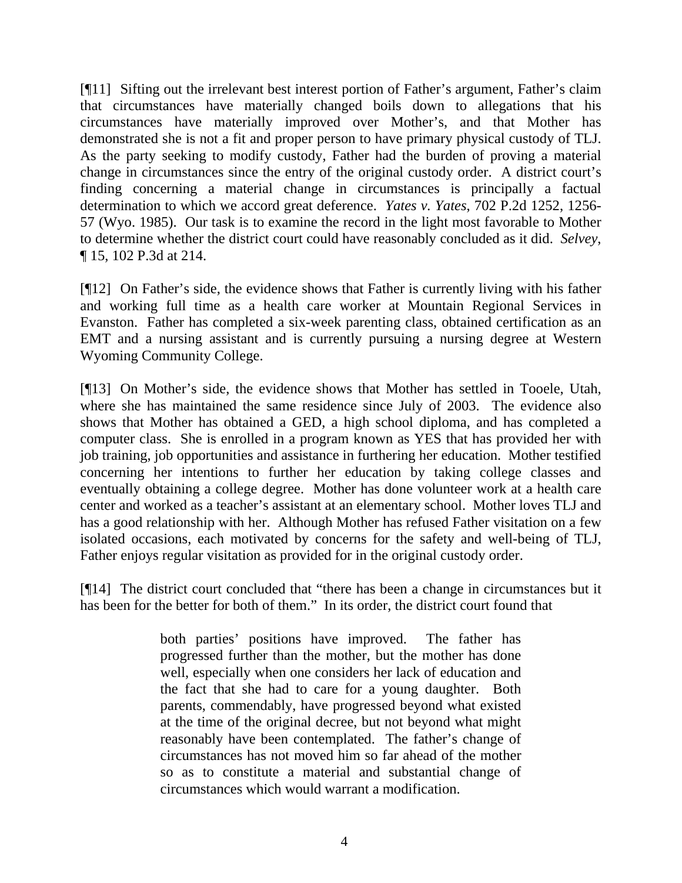[¶11] Sifting out the irrelevant best interest portion of Father's argument, Father's claim that circumstances have materially changed boils down to allegations that his circumstances have materially improved over Mother's, and that Mother has demonstrated she is not a fit and proper person to have primary physical custody of TLJ. As the party seeking to modify custody, Father had the burden of proving a material change in circumstances since the entry of the original custody order. A district court's finding concerning a material change in circumstances is principally a factual determination to which we accord great deference. *Yates v. Yates*, 702 P.2d 1252, 1256- 57 (Wyo. 1985). Our task is to examine the record in the light most favorable to Mother to determine whether the district court could have reasonably concluded as it did. *Selvey*, ¶ 15, 102 P.3d at 214.

[¶12] On Father's side, the evidence shows that Father is currently living with his father and working full time as a health care worker at Mountain Regional Services in Evanston. Father has completed a six-week parenting class, obtained certification as an EMT and a nursing assistant and is currently pursuing a nursing degree at Western Wyoming Community College.

[¶13] On Mother's side, the evidence shows that Mother has settled in Tooele, Utah, where she has maintained the same residence since July of 2003. The evidence also shows that Mother has obtained a GED, a high school diploma, and has completed a computer class. She is enrolled in a program known as YES that has provided her with job training, job opportunities and assistance in furthering her education. Mother testified concerning her intentions to further her education by taking college classes and eventually obtaining a college degree. Mother has done volunteer work at a health care center and worked as a teacher's assistant at an elementary school. Mother loves TLJ and has a good relationship with her. Although Mother has refused Father visitation on a few isolated occasions, each motivated by concerns for the safety and well-being of TLJ, Father enjoys regular visitation as provided for in the original custody order.

[¶14] The district court concluded that "there has been a change in circumstances but it has been for the better for both of them." In its order, the district court found that

> both parties' positions have improved. The father has progressed further than the mother, but the mother has done well, especially when one considers her lack of education and the fact that she had to care for a young daughter. Both parents, commendably, have progressed beyond what existed at the time of the original decree, but not beyond what might reasonably have been contemplated. The father's change of circumstances has not moved him so far ahead of the mother so as to constitute a material and substantial change of circumstances which would warrant a modification.